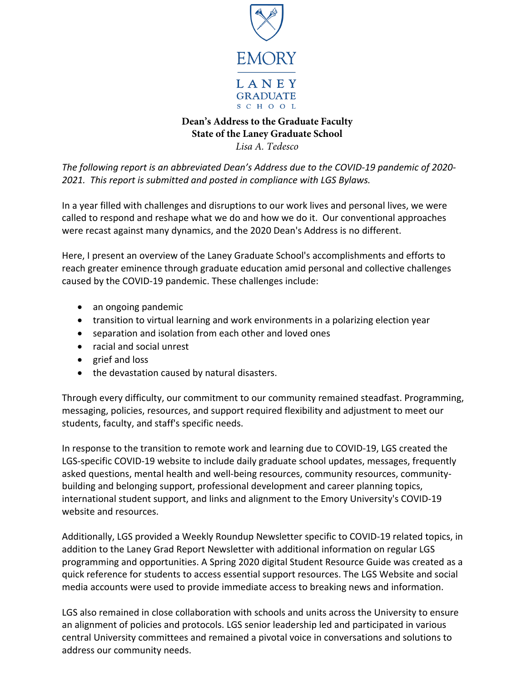

# **Dean's Address to the Graduate Faculty State of the Laney Graduate School**

*Lisa A. Tedesco* 

*The following report is an abbreviated Dean's Address due to the COVID-19 pandemic of 2020- 2021. This report is submitted and posted in compliance with LGS Bylaws.* 

In a year filled with challenges and disruptions to our work lives and personal lives, we were called to respond and reshape what we do and how we do it. Our conventional approaches were recast against many dynamics, and the 2020 Dean's Address is no different.

Here, I present an overview of the Laney Graduate School's accomplishments and efforts to reach greater eminence through graduate education amid personal and collective challenges caused by the COVID-19 pandemic. These challenges include:

- an ongoing pandemic
- transition to virtual learning and work environments in a polarizing election year
- separation and isolation from each other and loved ones
- racial and social unrest
- grief and loss
- the devastation caused by natural disasters.

Through every difficulty, our commitment to our community remained steadfast. Programming, messaging, policies, resources, and support required flexibility and adjustment to meet our students, faculty, and staff's specific needs.

In response to the transition to remote work and learning due to COVID-19, LGS created the LGS-specific COVID-19 website to include daily graduate school updates, messages, frequently asked questions, mental health and well-being resources, community resources, communitybuilding and belonging support, professional development and career planning topics, international student support, and links and alignment to the Emory University's COVID-19 website and resources.

Additionally, LGS provided a Weekly Roundup Newsletter specific to COVID-19 related topics, in addition to the Laney Grad Report Newsletter with additional information on regular LGS programming and opportunities. A Spring 2020 digital Student Resource Guide was created as a quick reference for students to access essential support resources. The LGS Website and social media accounts were used to provide immediate access to breaking news and information.

LGS also remained in close collaboration with schools and units across the University to ensure an alignment of policies and protocols. LGS senior leadership led and participated in various central University committees and remained a pivotal voice in conversations and solutions to address our community needs.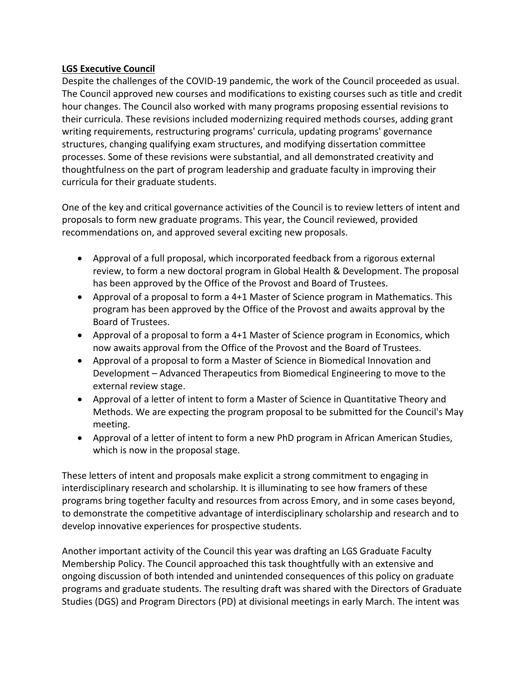#### **LGS Executive Council**

Despite the challenges of the COVID-19 pandemic, the work of the Council proceeded as usual. The Council approved new courses and modifications to existing courses such as title and credit hour changes. The Council also worked with many programs proposing essential revisions to their curricula. These revisions included modernizing required methods courses, adding grant writing requirements, restructuring programs' curricula, updating programs' governance structures, changing qualifying exam structures, and modifying dissertation committee processes. Some of these revisions were substantial, and all demonstrated creativity and thoughtfulness on the part of program leadership and graduate faculty in improving their curricula for their graduate students.

One of the key and critical governance activities of the Council is to review letters of intent and proposals to form new graduate programs. This year, the Council reviewed, provided recommendations on, and approved several exciting new proposals.

- Approval of a full proposal, which incorporated feedback from a rigorous external review, to form a new doctoral program in Global Health & Development. The proposal has been approved by the Office of the Provost and Board of Trustees.
- Approval of a proposal to form a 4+1 Master of Science program in Mathematics. This program has been approved by the Office of the Provost and awaits approval by the Board of Trustees.
- Approval of a proposal to form a 4+1 Master of Science program in Economics, which now awaits approval from the Office of the Provost and the Board of Trustees.
- Approval of a proposal to form a Master of Science in Biomedical Innovation and Development – Advanced Therapeutics from Biomedical Engineering to move to the external review stage.
- Approval of a letter of intent to form a Master of Science in Quantitative Theory and Methods. We are expecting the program proposal to be submitted for the Council's May meeting.
- Approval of a letter of intent to form a new PhD program in African American Studies, which is now in the proposal stage.

These letters of intent and proposals make explicit a strong commitment to engaging in interdisciplinary research and scholarship. It is illuminating to see how framers of these programs bring together faculty and resources from across Emory, and in some cases beyond, to demonstrate the competitive advantage of interdisciplinary scholarship and research and to develop innovative experiences for prospective students.

Another important activity of the Council this year was drafting an LGS Graduate Faculty Membership Policy. The Council approached this task thoughtfully with an extensive and ongoing discussion of both intended and unintended consequences of this policy on graduate programs and graduate students. The resulting draft was shared with the Directors of Graduate Studies (DGS) and Program Directors (PD) at divisional meetings in early March. The intent was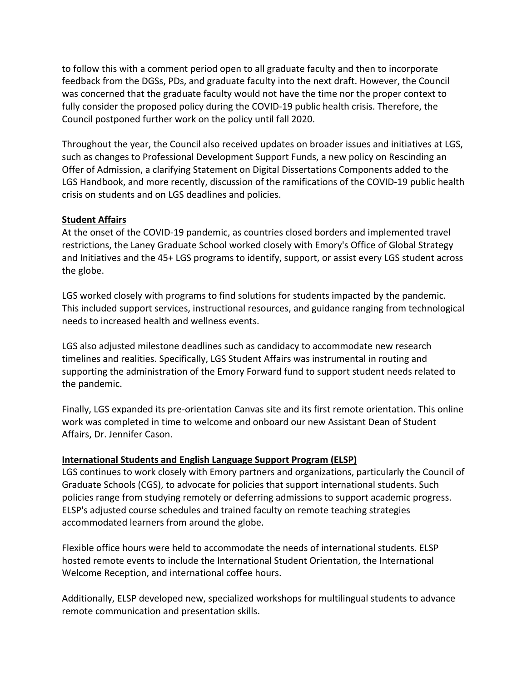to follow this with a comment period open to all graduate faculty and then to incorporate feedback from the DGSs, PDs, and graduate faculty into the next draft. However, the Council was concerned that the graduate faculty would not have the time nor the proper context to fully consider the proposed policy during the COVID-19 public health crisis. Therefore, the Council postponed further work on the policy until fall 2020.

Throughout the year, the Council also received updates on broader issues and initiatives at LGS, such as changes to Professional Development Support Funds, a new policy on Rescinding an Offer of Admission, a clarifying Statement on Digital Dissertations Components added to the LGS Handbook, and more recently, discussion of the ramifications of the COVID-19 public health crisis on students and on LGS deadlines and policies.

## **Student Affairs**

At the onset of the COVID-19 pandemic, as countries closed borders and implemented travel restrictions, the Laney Graduate School worked closely with Emory's Office of Global Strategy and Initiatives and the 45+ LGS programs to identify, support, or assist every LGS student across the globe.

LGS worked closely with programs to find solutions for students impacted by the pandemic. This included support services, instructional resources, and guidance ranging from technological needs to increased health and wellness events.

LGS also adjusted milestone deadlines such as candidacy to accommodate new research timelines and realities. Specifically, LGS Student Affairs was instrumental in routing and supporting the administration of the Emory Forward fund to support student needs related to the pandemic.

Finally, LGS expanded its pre-orientation Canvas site and its first remote orientation. This online work was completed in time to welcome and onboard our new Assistant Dean of Student Affairs, Dr. Jennifer Cason.

## **International Students and English Language Support Program (ELSP)**

LGS continues to work closely with Emory partners and organizations, particularly the Council of Graduate Schools (CGS), to advocate for policies that support international students. Such policies range from studying remotely or deferring admissions to support academic progress. ELSP's adjusted course schedules and trained faculty on remote teaching strategies accommodated learners from around the globe.

Flexible office hours were held to accommodate the needs of international students. ELSP hosted remote events to include the International Student Orientation, the International Welcome Reception, and international coffee hours.

Additionally, ELSP developed new, specialized workshops for multilingual students to advance remote communication and presentation skills.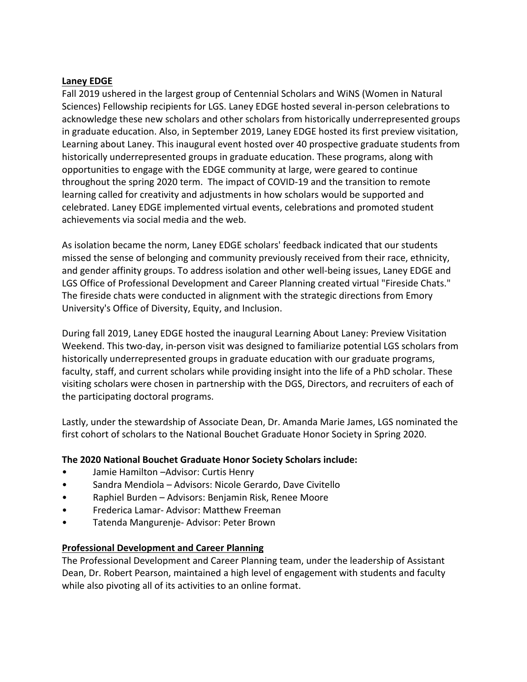#### **Laney EDGE**

Fall 2019 ushered in the largest group of Centennial Scholars and WiNS (Women in Natural Sciences) Fellowship recipients for LGS. Laney EDGE hosted several in-person celebrations to acknowledge these new scholars and other scholars from historically underrepresented groups in graduate education. Also, in September 2019, Laney EDGE hosted its first preview visitation, Learning about Laney. This inaugural event hosted over 40 prospective graduate students from historically underrepresented groups in graduate education. These programs, along with opportunities to engage with the EDGE community at large, were geared to continue throughout the spring 2020 term. The impact of COVID-19 and the transition to remote learning called for creativity and adjustments in how scholars would be supported and celebrated. Laney EDGE implemented virtual events, celebrations and promoted student achievements via social media and the web.

As isolation became the norm, Laney EDGE scholars' feedback indicated that our students missed the sense of belonging and community previously received from their race, ethnicity, and gender affinity groups. To address isolation and other well-being issues, Laney EDGE and LGS Office of Professional Development and Career Planning created virtual "Fireside Chats." The fireside chats were conducted in alignment with the strategic directions from Emory University's Office of Diversity, Equity, and Inclusion.

During fall 2019, Laney EDGE hosted the inaugural Learning About Laney: Preview Visitation Weekend. This two-day, in-person visit was designed to familiarize potential LGS scholars from historically underrepresented groups in graduate education with our graduate programs, faculty, staff, and current scholars while providing insight into the life of a PhD scholar. These visiting scholars were chosen in partnership with the DGS, Directors, and recruiters of each of the participating doctoral programs.

Lastly, under the stewardship of Associate Dean, Dr. Amanda Marie James, LGS nominated the first cohort of scholars to the National Bouchet Graduate Honor Society in Spring 2020.

## **The 2020 National Bouchet Graduate Honor Society Scholars include:**

- Jamie Hamilton –Advisor: Curtis Henry
- Sandra Mendiola Advisors: Nicole Gerardo, Dave Civitello
- Raphiel Burden Advisors: Benjamin Risk, Renee Moore
- Frederica Lamar- Advisor: Matthew Freeman
- Tatenda Mangurenje- Advisor: Peter Brown

#### **Professional Development and Career Planning**

The Professional Development and Career Planning team, under the leadership of Assistant Dean, Dr. Robert Pearson, maintained a high level of engagement with students and faculty while also pivoting all of its activities to an online format.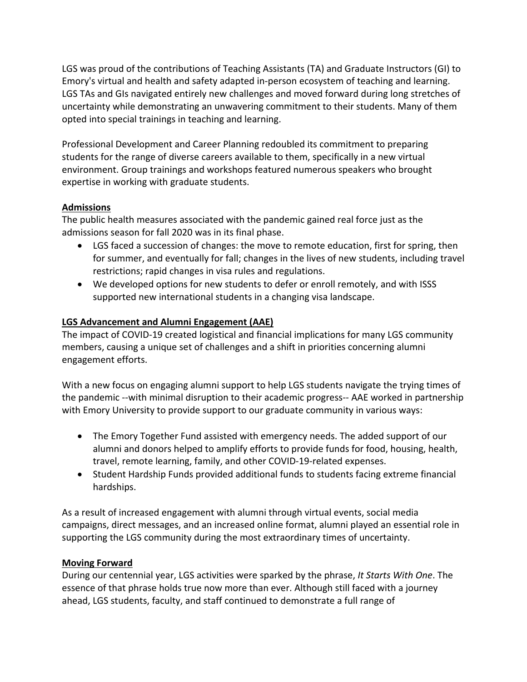LGS was proud of the contributions of Teaching Assistants (TA) and Graduate Instructors (GI) to Emory's virtual and health and safety adapted in-person ecosystem of teaching and learning. LGS TAs and GIs navigated entirely new challenges and moved forward during long stretches of uncertainty while demonstrating an unwavering commitment to their students. Many of them opted into special trainings in teaching and learning.

Professional Development and Career Planning redoubled its commitment to preparing students for the range of diverse careers available to them, specifically in a new virtual environment. Group trainings and workshops featured numerous speakers who brought expertise in working with graduate students.

## **Admissions**

The public health measures associated with the pandemic gained real force just as the admissions season for fall 2020 was in its final phase.

- LGS faced a succession of changes: the move to remote education, first for spring, then for summer, and eventually for fall; changes in the lives of new students, including travel restrictions; rapid changes in visa rules and regulations.
- We developed options for new students to defer or enroll remotely, and with ISSS supported new international students in a changing visa landscape.

# **LGS Advancement and Alumni Engagement (AAE)**

The impact of COVID-19 created logistical and financial implications for many LGS community members, causing a unique set of challenges and a shift in priorities concerning alumni engagement efforts.

With a new focus on engaging alumni support to help LGS students navigate the trying times of the pandemic --with minimal disruption to their academic progress-- AAE worked in partnership with Emory University to provide support to our graduate community in various ways:

- The Emory Together Fund assisted with emergency needs. The added support of our alumni and donors helped to amplify efforts to provide funds for food, housing, health, travel, remote learning, family, and other COVID-19-related expenses.
- Student Hardship Funds provided additional funds to students facing extreme financial hardships.

As a result of increased engagement with alumni through virtual events, social media campaigns, direct messages, and an increased online format, alumni played an essential role in supporting the LGS community during the most extraordinary times of uncertainty.

## **Moving Forward**

During our centennial year, LGS activities were sparked by the phrase, *It Starts With One*. The essence of that phrase holds true now more than ever. Although still faced with a journey ahead, LGS students, faculty, and staff continued to demonstrate a full range of